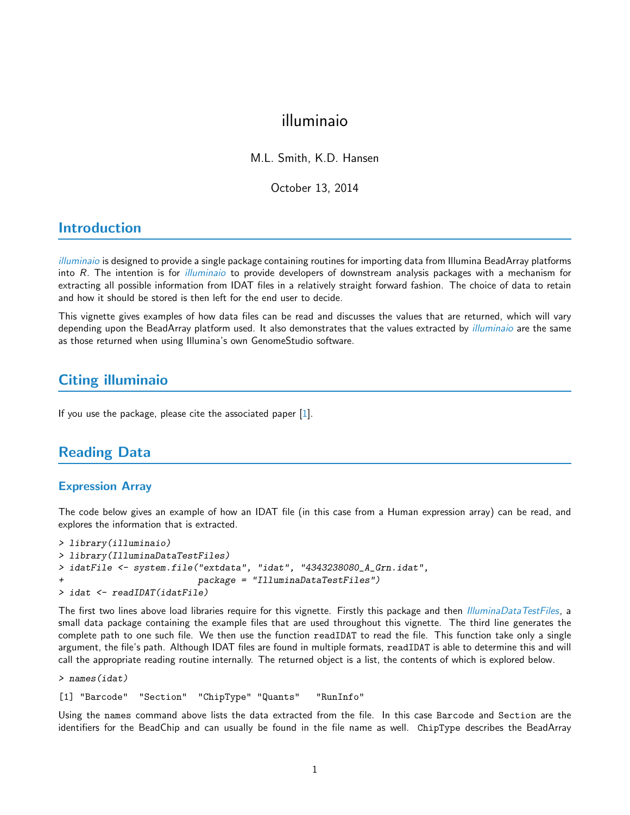# illuminaio

M.L. Smith, K.D. Hansen

October 13, 2014

# Introduction

[illuminaio](http://bioconductor.org/packages/release/bioc/html/illuminaio.html) is designed to provide a single package containing routines for importing data from Illumina BeadArray platforms into R. The intention is for *[illuminaio](http://bioconductor.org/packages/release/bioc/html/illuminaio.html)* to provide developers of downstream analysis packages with a mechanism for extracting all possible information from IDAT files in a relatively straight forward fashion. The choice of data to retain and how it should be stored is then left for the end user to decide.

This vignette gives examples of how data files can be read and discusses the values that are returned, which will vary depending upon the BeadArray platform used. It also demonstrates that the values extracted by *[illuminaio](http://bioconductor.org/packages/release/bioc/html/illuminaio.html)* are the same as those returned when using Illumina's own GenomeStudio software.

# Citing illuminaio

If you use the package, please cite the associated paper [\[1\]](#page-3-0).

# Reading Data

#### Expression Array

The code below gives an example of how an IDAT file (in this case from a Human expression array) can be read, and explores the information that is extracted.

```
> library(illuminaio)
> library(IlluminaDataTestFiles)
> idatFile <- system.file("extdata", "idat", "4343238080_A_Grn.idat",
                          package = "IlluminaDataTestFiles")> idat <- readIDAT(idatFile)
```
The first two lines above load libraries require for this vignette. Firstly this package and then *[IlluminaDataTestFiles](http://bioconductor.org/packages/release/bioc/html/IlluminaDataTestFiles.html)*, a small data package containing the example files that are used throughout this vignette. The third line generates the complete path to one such file. We then use the function readIDAT to read the file. This function take only a single argument, the file's path. Although IDAT files are found in multiple formats, readIDAT is able to determine this and will call the appropriate reading routine internally. The returned object is a list, the contents of which is explored below.

```
> names(idat)
```
[1] "Barcode" "Section" "ChipType" "Quants" "RunInfo"

Using the names command above lists the data extracted from the file. In this case Barcode and Section are the identifiers for the BeadChip and can usually be found in the file name as well. ChipType describes the BeadArray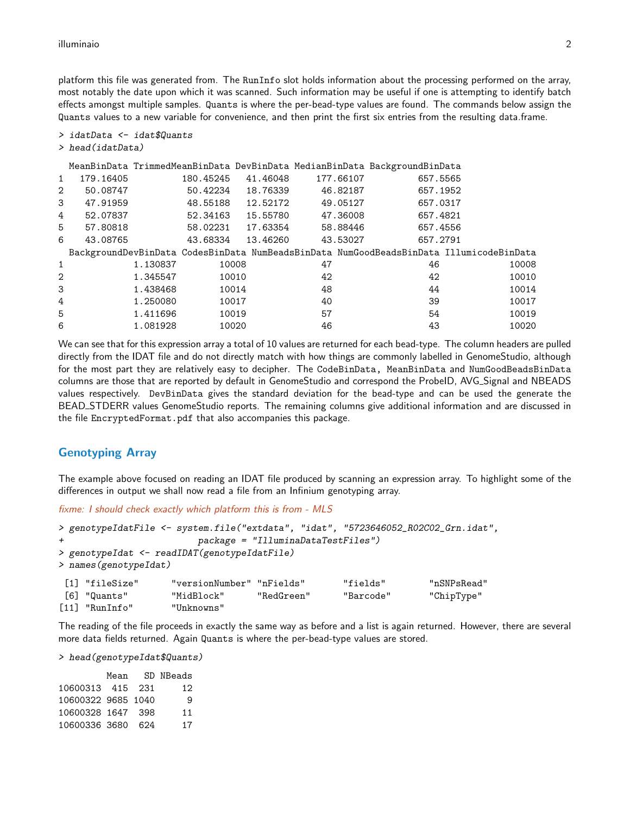platform this file was generated from. The RunInfo slot holds information about the processing performed on the array, most notably the date upon which it was scanned. Such information may be useful if one is attempting to identify batch effects amongst multiple samples. Quants is where the per-bead-type values are found. The commands below assign the Quants values to a new variable for convenience, and then print the first six entries from the resulting data.frame.

```
> idatData <- idat$Quants
```

```
> head(idatData)
```

|                |           |          |           |          |           | MeanBinData TrimmedMeanBinData DevBinData MedianBinData BackgroundBinData |                                                                                         |
|----------------|-----------|----------|-----------|----------|-----------|---------------------------------------------------------------------------|-----------------------------------------------------------------------------------------|
| $\mathbf{1}$   | 179.16405 |          | 180.45245 | 41.46048 | 177.66107 | 657.5565                                                                  |                                                                                         |
| $\overline{2}$ | 50.08747  |          | 50.42234  | 18.76339 | 46.82187  | 657.1952                                                                  |                                                                                         |
| 3              | 47.91959  |          | 48.55188  | 12.52172 | 49.05127  | 657.0317                                                                  |                                                                                         |
| 4              | 52.07837  |          | 52.34163  | 15.55780 | 47.36008  | 657.4821                                                                  |                                                                                         |
| 5              | 57.80818  |          | 58.02231  | 17.63354 | 58.88446  | 657.4556                                                                  |                                                                                         |
| 6              | 43.08765  |          | 43.68334  | 13.46260 | 43.53027  | 657.2791                                                                  |                                                                                         |
|                |           |          |           |          |           |                                                                           | BackgroundDevBinData CodesBinData NumBeadsBinData NumGoodBeadsBinData IllumicodeBinData |
| 1              |           | 1.130837 |           | 10008    | 47        | 46                                                                        | 10008                                                                                   |
| $\overline{2}$ |           | 1.345547 |           | 10010    | 42        | 42                                                                        | 10010                                                                                   |
| 3              |           | 1.438468 |           | 10014    | 48        | 44                                                                        | 10014                                                                                   |
| 4              |           | 1.250080 |           | 10017    | 40        | 39                                                                        | 10017                                                                                   |
| 5              |           | 1.411696 |           | 10019    | 57        | 54                                                                        | 10019                                                                                   |
| 6              |           | 1.081928 |           | 10020    | 46        | 43                                                                        | 10020                                                                                   |

We can see that for this expression array a total of 10 values are returned for each bead-type. The column headers are pulled directly from the IDAT file and do not directly match with how things are commonly labelled in GenomeStudio, although for the most part they are relatively easy to decipher. The CodeBinData, MeanBinData and NumGoodBeadsBinData columns are those that are reported by default in GenomeStudio and correspond the ProbeID, AVG\_Signal and NBEADS values respectively. DevBinData gives the standard deviation for the bead-type and can be used the generate the BEAD STDERR values GenomeStudio reports. The remaining columns give additional information and are discussed in the file EncryptedFormat.pdf that also accompanies this package.

### Genotyping Array

The example above focused on reading an IDAT file produced by scanning an expression array. To highlight some of the differences in output we shall now read a file from an Infinium genotyping array.

fixme: I should check exactly which platform this is from - MLS

```
> genotypeIdatFile <- system.file("extdata", "idat", "5723646052_R02C02_Grn.idat",
                      package = "IlluminaDataTestFiles")
> genotypeIdat <- readIDAT(genotypeIdatFile)
> names(genotypeIdat)
 [1] "fileSize" "versionNumber" "nFields" "fields" "nSNPsRead"
[6] "Quants" "MidBlock" "RedGreen" "Barcode" "ChipType"
```
The reading of the file proceeds in exactly the same way as before and a list is again returned. However, there are several more data fields returned. Again Quants is where the per-bead-type values are stored.

> head(genotypeIdat\$Quants)

[11] "RunInfo" "Unknowns"

|                    | Mean |     | SD NBeads |
|--------------------|------|-----|-----------|
| 10600313 415 231   |      |     | 12        |
| 10600322 9685 1040 |      |     | 9         |
| 10600328 1647 398  |      |     | 11        |
| 10600336 3680      |      | 624 | 17        |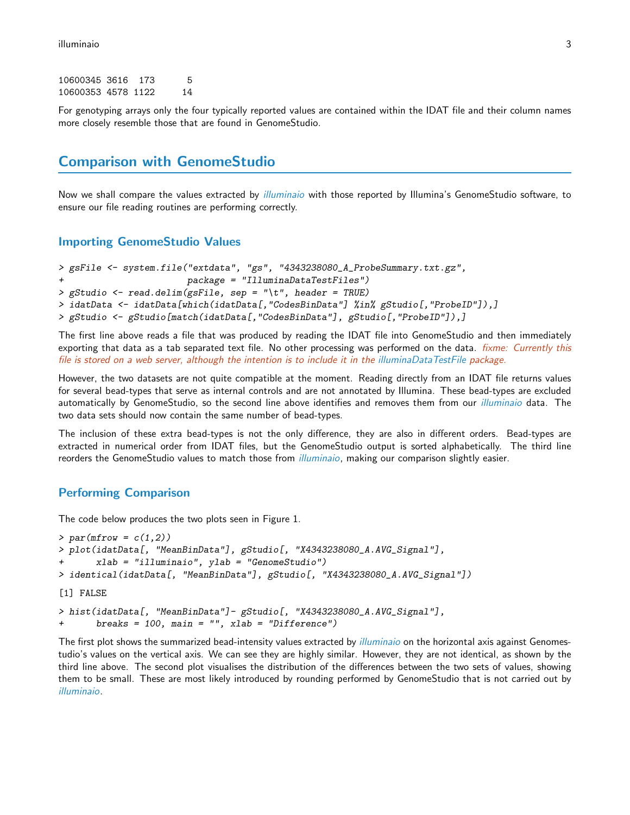| 10600345 3616      | 173 | 5  |
|--------------------|-----|----|
| 10600353 4578 1122 |     | 14 |

For genotyping arrays only the four typically reported values are contained within the IDAT file and their column names more closely resemble those that are found in GenomeStudio.

### Comparison with GenomeStudio

Now we shall compare the values extracted by *[illuminaio](http://bioconductor.org/packages/release/bioc/html/illuminaio.html)* with those reported by Illumina's GenomeStudio software, to ensure our file reading routines are performing correctly.

#### Importing GenomeStudio Values

```
> gsFile <- system.file("extdata", "gs", "4343238080_A_ProbeSummary.txt.gz",
                        + package = "IlluminaDataTestFiles")
> gStudio <- read.delim(gsFile, sep = "\t", header = TRUE)
> idatData <- idatData[which(idatData[,"CodesBinData"] %in% gStudio[,"ProbeID"]),]
> gStudio <- gStudio[match(idatData[,"CodesBinData"], gStudio[,"ProbeID"]),]
```
The first line above reads a file that was produced by reading the IDAT file into GenomeStudio and then immediately exporting that data as a tab separated text file. No other processing was performed on the data. *fixme: Currently this* file is stored on a web server, although the intention is to include it in the [illuminaDataTestFile](http://bioconductor.org/packages/release/bioc/html/illuminaDataTestFile.html) package.

However, the two datasets are not quite compatible at the moment. Reading directly from an IDAT file returns values for several bead-types that serve as internal controls and are not annotated by Illumina. These bead-types are excluded automatically by GenomeStudio, so the second line above identifies and removes them from our *[illuminaio](http://bioconductor.org/packages/release/bioc/html/illuminaio.html)* data. The two data sets should now contain the same number of bead-types.

The inclusion of these extra bead-types is not the only difference, they are also in different orders. Bead-types are extracted in numerical order from IDAT files, but the GenomeStudio output is sorted alphabetically. The third line reorders the GenomeStudio values to match those from *[illuminaio](http://bioconductor.org/packages/release/bioc/html/illuminaio.html)*, making our comparison slightly easier.

#### Performing Comparison

The code below produces the two plots seen in Figure 1.

```
> par(mfrow = c(1,2))> plot(idatData[, "MeanBinData"], gStudio[, "X4343238080_A.AVG_Signal"],
      xlab = "illumination", ylab = "GenomeStudio")> identical(idatData[, "MeanBinData"], gStudio[, "X4343238080_A.AVG_Signal"])
[1] FALSE
> hist(idatData[, "MeanBinData"]- gStudio[, "X4343238080_A.AVG_Signal"],
+ breaks = 100, main = "", xlab = "Difference")
```
The first plot shows the summarized bead-intensity values extracted by *[illuminaio](http://bioconductor.org/packages/release/bioc/html/illuminaio.html)* on the horizontal axis against Genomestudio's values on the vertical axis. We can see they are highly similar. However, they are not identical, as shown by the third line above. The second plot visualises the distribution of the differences between the two sets of values, showing them to be small. These are most likely introduced by rounding performed by GenomeStudio that is not carried out by [illuminaio](http://bioconductor.org/packages/release/bioc/html/illuminaio.html).